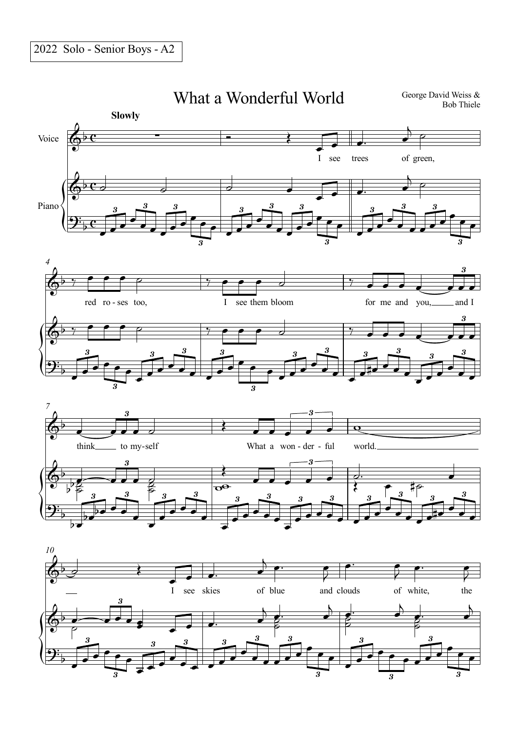$3^{\circ}$ 

## What a Wonderful World

George David Weiss & Bob Thiele



3

3

3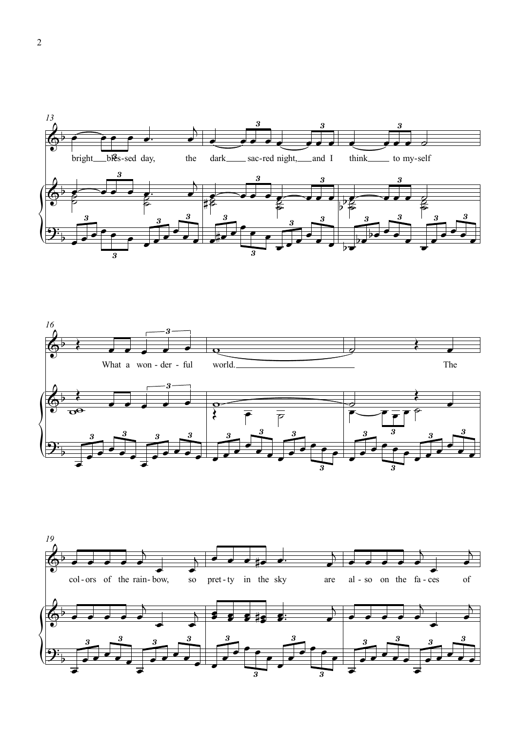



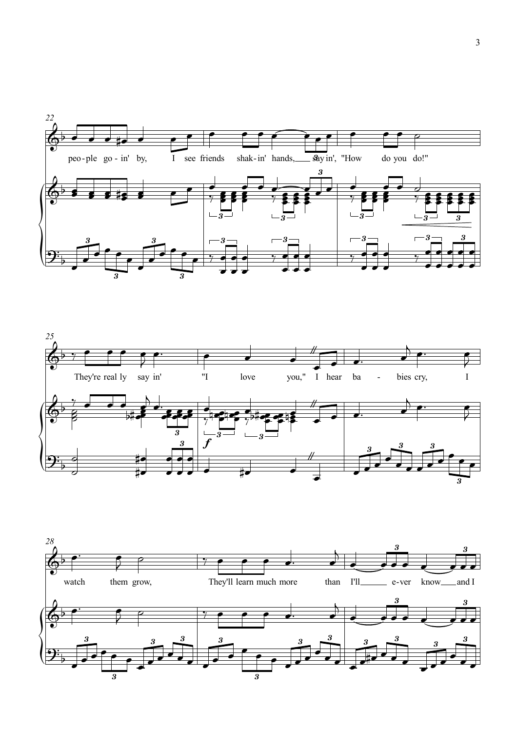